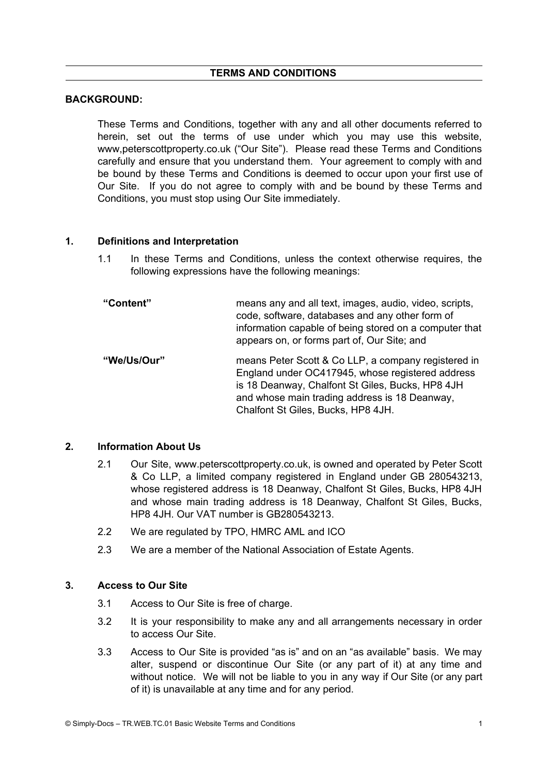# **TERMS AND CONDITIONS**

### **BACKGROUND:**

These Terms and Conditions, together with any and all other documents referred to herein, set out the terms of use under which you may use this website, www,peterscottproperty.co.uk ("Our Site"). Please read these Terms and Conditions carefully and ensure that you understand them. Your agreement to comply with and be bound by these Terms and Conditions is deemed to occur upon your first use of Our Site. If you do not agree to comply with and be bound by these Terms and Conditions, you must stop using Our Site immediately.

#### **1. Definitions and Interpretation**

- 1.1 In these Terms and Conditions, unless the context otherwise requires, the following expressions have the following meanings:
- **"Content"** means any and all text, images, audio, video, scripts, code, software, databases and any other form of information capable of being stored on a computer that appears on, or forms part of, Our Site; and **"We/Us/Our"** means Peter Scott & Co LLP, a company registered in England under OC417945, whose registered address is 18 Deanway, Chalfont St Giles, Bucks, HP8 4JH and whose main trading address is 18 Deanway,

Chalfont St Giles, Bucks, HP8 4JH.

#### **2. Information About Us**

- 2.1 Our Site, www.peterscottproperty.co.uk, is owned and operated by Peter Scott & Co LLP, a limited company registered in England under GB 280543213, whose registered address is 18 Deanway, Chalfont St Giles, Bucks, HP8 4JH and whose main trading address is 18 Deanway, Chalfont St Giles, Bucks, HP8 4JH. Our VAT number is GB280543213.
- 2.2 We are regulated by TPO, HMRC AML and ICO
- 2.3 We are a member of the National Association of Estate Agents.

#### **3. Access to Our Site**

- 3.1 Access to Our Site is free of charge.
- 3.2 It is your responsibility to make any and all arrangements necessary in order to access Our Site.
- 3.3 Access to Our Site is provided "as is" and on an "as available" basis. We may alter, suspend or discontinue Our Site (or any part of it) at any time and without notice. We will not be liable to you in any way if Our Site (or any part of it) is unavailable at any time and for any period.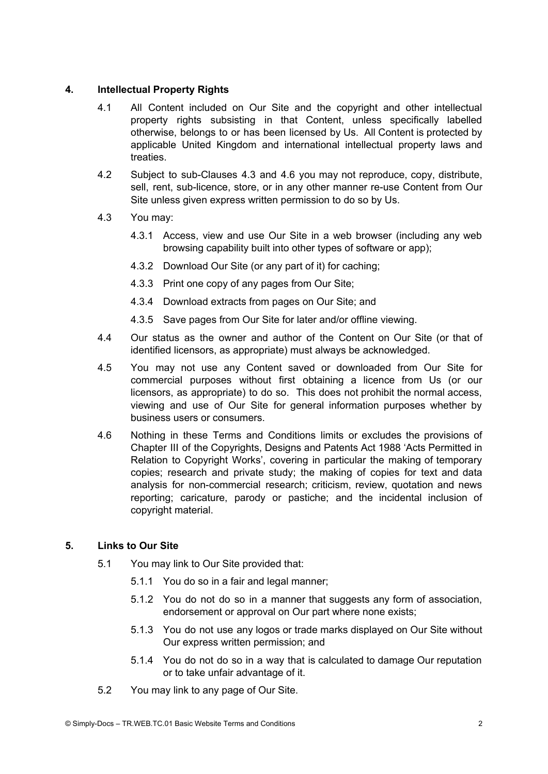## **4. Intellectual Property Rights**

- 4.1 All Content included on Our Site and the copyright and other intellectual property rights subsisting in that Content, unless specifically labelled otherwise, belongs to or has been licensed by Us. All Content is protected by applicable United Kingdom and international intellectual property laws and treaties.
- 4.2 Subject to sub-Clauses 4.3 and 4.6 you may not reproduce, copy, distribute, sell, rent, sub-licence, store, or in any other manner re-use Content from Our Site unless given express written permission to do so by Us.
- 4.3 You may:
	- 4.3.1 Access, view and use Our Site in a web browser (including any web browsing capability built into other types of software or app);
	- 4.3.2 Download Our Site (or any part of it) for caching;
	- 4.3.3 Print one copy of any pages from Our Site;
	- 4.3.4 Download extracts from pages on Our Site; and
	- 4.3.5 Save pages from Our Site for later and/or offline viewing.
- 4.4 Our status as the owner and author of the Content on Our Site (or that of identified licensors, as appropriate) must always be acknowledged.
- 4.5 You may not use any Content saved or downloaded from Our Site for commercial purposes without first obtaining a licence from Us (or our licensors, as appropriate) to do so. This does not prohibit the normal access, viewing and use of Our Site for general information purposes whether by business users or consumers.
- 4.6 Nothing in these Terms and Conditions limits or excludes the provisions of Chapter III of the Copyrights, Designs and Patents Act 1988 'Acts Permitted in Relation to Copyright Works', covering in particular the making of temporary copies; research and private study; the making of copies for text and data analysis for non-commercial research; criticism, review, quotation and news reporting; caricature, parody or pastiche; and the incidental inclusion of copyright material.

# **5. Links to Our Site**

- 5.1 You may link to Our Site provided that:
	- 5.1.1 You do so in a fair and legal manner;
	- 5.1.2 You do not do so in a manner that suggests any form of association, endorsement or approval on Our part where none exists;
	- 5.1.3 You do not use any logos or trade marks displayed on Our Site without Our express written permission; and
	- 5.1.4 You do not do so in a way that is calculated to damage Our reputation or to take unfair advantage of it.
- 5.2 You may link to any page of Our Site.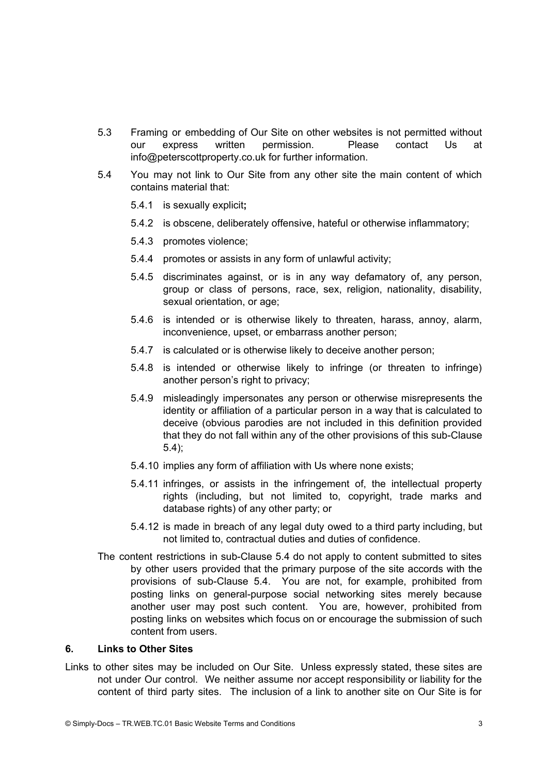- 5.3 Framing or embedding of Our Site on other websites is not permitted without our express written permission. Please contact Us at info@peterscottproperty.co.uk for further information.
- 5.4 You may not link to Our Site from any other site the main content of which contains material that:
	- 5.4.1 is sexually explicit**;**
	- 5.4.2 is obscene, deliberately offensive, hateful or otherwise inflammatory;
	- 5.4.3 promotes violence;
	- 5.4.4 promotes or assists in any form of unlawful activity;
	- 5.4.5 discriminates against, or is in any way defamatory of, any person, group or class of persons, race, sex, religion, nationality, disability, sexual orientation, or age;
	- 5.4.6 is intended or is otherwise likely to threaten, harass, annoy, alarm, inconvenience, upset, or embarrass another person;
	- 5.4.7 is calculated or is otherwise likely to deceive another person;
	- 5.4.8 is intended or otherwise likely to infringe (or threaten to infringe) another person's right to privacy;
	- 5.4.9 misleadingly impersonates any person or otherwise misrepresents the identity or affiliation of a particular person in a way that is calculated to deceive (obvious parodies are not included in this definition provided that they do not fall within any of the other provisions of this sub-Clause 5.4);
	- 5.4.10 implies any form of affiliation with Us where none exists;
	- 5.4.11 infringes, or assists in the infringement of, the intellectual property rights (including, but not limited to, copyright, trade marks and database rights) of any other party; or
	- 5.4.12 is made in breach of any legal duty owed to a third party including, but not limited to, contractual duties and duties of confidence.
- The content restrictions in sub-Clause 5.4 do not apply to content submitted to sites by other users provided that the primary purpose of the site accords with the provisions of sub-Clause 5.4. You are not, for example, prohibited from posting links on general-purpose social networking sites merely because another user may post such content. You are, however, prohibited from posting links on websites which focus on or encourage the submission of such content from users.

## **6. Links to Other Sites**

Links to other sites may be included on Our Site. Unless expressly stated, these sites are not under Our control. We neither assume nor accept responsibility or liability for the content of third party sites. The inclusion of a link to another site on Our Site is for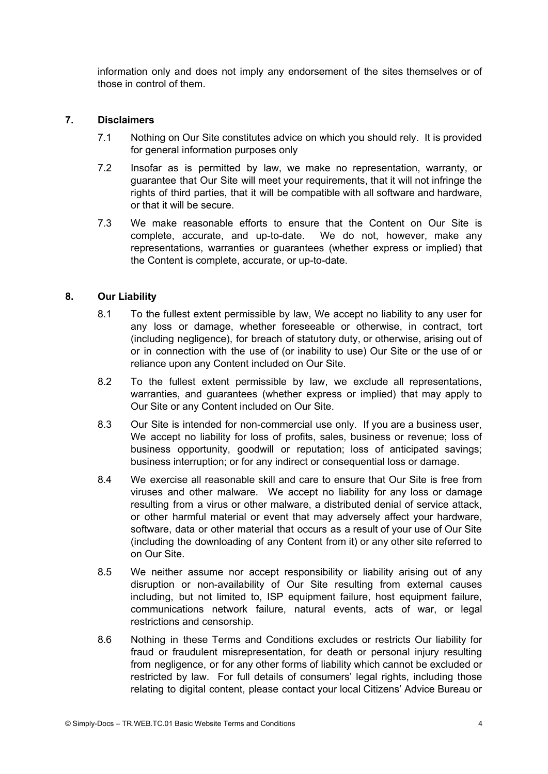information only and does not imply any endorsement of the sites themselves or of those in control of them.

### **7. Disclaimers**

- 7.1 Nothing on Our Site constitutes advice on which you should rely. It is provided for general information purposes only
- 7.2 Insofar as is permitted by law, we make no representation, warranty, or guarantee that Our Site will meet your requirements, that it will not infringe the rights of third parties, that it will be compatible with all software and hardware, or that it will be secure.
- 7.3 We make reasonable efforts to ensure that the Content on Our Site is complete, accurate, and up-to-date. We do not, however, make any representations, warranties or guarantees (whether express or implied) that the Content is complete, accurate, or up-to-date.

#### **8. Our Liability**

- 8.1 To the fullest extent permissible by law, We accept no liability to any user for any loss or damage, whether foreseeable or otherwise, in contract, tort (including negligence), for breach of statutory duty, or otherwise, arising out of or in connection with the use of (or inability to use) Our Site or the use of or reliance upon any Content included on Our Site.
- 8.2 To the fullest extent permissible by law, we exclude all representations, warranties, and guarantees (whether express or implied) that may apply to Our Site or any Content included on Our Site.
- 8.3 Our Site is intended for non-commercial use only. If you are a business user, We accept no liability for loss of profits, sales, business or revenue; loss of business opportunity, goodwill or reputation; loss of anticipated savings; business interruption; or for any indirect or consequential loss or damage.
- 8.4 We exercise all reasonable skill and care to ensure that Our Site is free from viruses and other malware. We accept no liability for any loss or damage resulting from a virus or other malware, a distributed denial of service attack, or other harmful material or event that may adversely affect your hardware, software, data or other material that occurs as a result of your use of Our Site (including the downloading of any Content from it) or any other site referred to on Our Site.
- 8.5 We neither assume nor accept responsibility or liability arising out of any disruption or non-availability of Our Site resulting from external causes including, but not limited to, ISP equipment failure, host equipment failure, communications network failure, natural events, acts of war, or legal restrictions and censorship.
- 8.6 Nothing in these Terms and Conditions excludes or restricts Our liability for fraud or fraudulent misrepresentation, for death or personal injury resulting from negligence, or for any other forms of liability which cannot be excluded or restricted by law. For full details of consumers' legal rights, including those relating to digital content, please contact your local Citizens' Advice Bureau or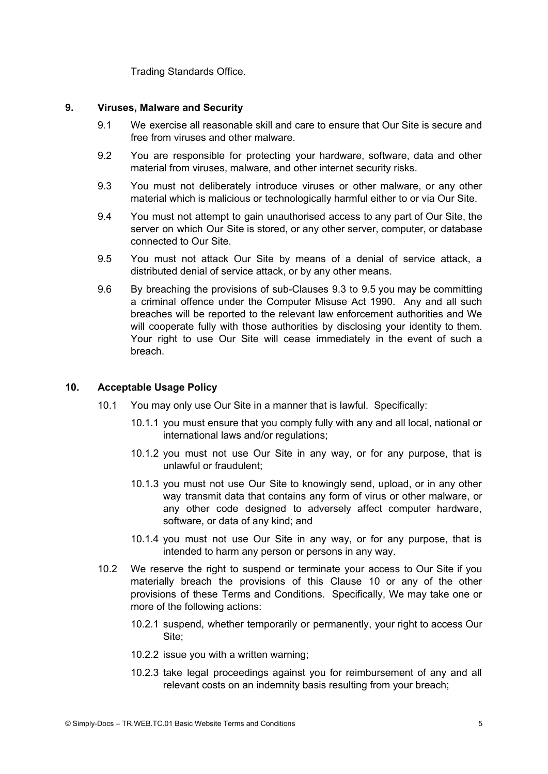Trading Standards Office.

### **9. Viruses, Malware and Security**

- 9.1 We exercise all reasonable skill and care to ensure that Our Site is secure and free from viruses and other malware.
- 9.2 You are responsible for protecting your hardware, software, data and other material from viruses, malware, and other internet security risks.
- 9.3 You must not deliberately introduce viruses or other malware, or any other material which is malicious or technologically harmful either to or via Our Site.
- 9.4 You must not attempt to gain unauthorised access to any part of Our Site, the server on which Our Site is stored, or any other server, computer, or database connected to Our Site.
- 9.5 You must not attack Our Site by means of a denial of service attack, a distributed denial of service attack, or by any other means.
- 9.6 By breaching the provisions of sub-Clauses 9.3 to 9.5 you may be committing a criminal offence under the Computer Misuse Act 1990. Any and all such breaches will be reported to the relevant law enforcement authorities and We will cooperate fully with those authorities by disclosing your identity to them. Your right to use Our Site will cease immediately in the event of such a breach.

### **10. Acceptable Usage Policy**

- 10.1 You may only use Our Site in a manner that is lawful. Specifically:
	- 10.1.1 you must ensure that you comply fully with any and all local, national or international laws and/or regulations;
	- 10.1.2 you must not use Our Site in any way, or for any purpose, that is unlawful or fraudulent;
	- 10.1.3 you must not use Our Site to knowingly send, upload, or in any other way transmit data that contains any form of virus or other malware, or any other code designed to adversely affect computer hardware, software, or data of any kind; and
	- 10.1.4 you must not use Our Site in any way, or for any purpose, that is intended to harm any person or persons in any way.
- 10.2 We reserve the right to suspend or terminate your access to Our Site if you materially breach the provisions of this Clause 10 or any of the other provisions of these Terms and Conditions. Specifically, We may take one or more of the following actions:
	- 10.2.1 suspend, whether temporarily or permanently, your right to access Our Site;
	- 10.2.2 issue you with a written warning;
	- 10.2.3 take legal proceedings against you for reimbursement of any and all relevant costs on an indemnity basis resulting from your breach;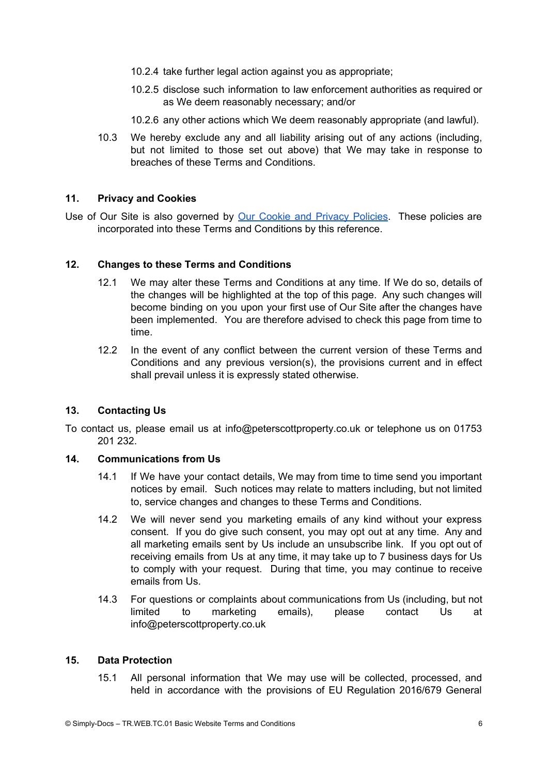- 10.2.4 take further legal action against you as appropriate;
- 10.2.5 disclose such information to law enforcement authorities as required or as We deem reasonably necessary; and/or
- 10.2.6 any other actions which We deem reasonably appropriate (and lawful).
- 10.3 We hereby exclude any and all liability arising out of any actions (including, but not limited to those set out above) that We may take in response to breaches of these Terms and Conditions.

### **11. Privacy and Cookies**

Use of Our Site is also governed by Our Cookie and Privacy [Policies](https://www.peterscottproperty.co.uk/Privacy-Policy.pdf). These policies are incorporated into these Terms and Conditions by this reference.

## **12. Changes to these Terms and Conditions**

- 12.1 We may alter these Terms and Conditions at any time. If We do so, details of the changes will be highlighted at the top of this page. Any such changes will become binding on you upon your first use of Our Site after the changes have been implemented. You are therefore advised to check this page from time to time.
- 12.2 In the event of any conflict between the current version of these Terms and Conditions and any previous version(s), the provisions current and in effect shall prevail unless it is expressly stated otherwise.

## **13. Contacting Us**

To contact us, please email us at info@peterscottproperty.co.uk or telephone us on 01753 201 232.

#### **14. Communications from Us**

- 14.1 If We have your contact details, We may from time to time send you important notices by email. Such notices may relate to matters including, but not limited to, service changes and changes to these Terms and Conditions.
- 14.2 We will never send you marketing emails of any kind without your express consent. If you do give such consent, you may opt out at any time. Any and all marketing emails sent by Us include an unsubscribe link. If you opt out of receiving emails from Us at any time, it may take up to 7 business days for Us to comply with your request. During that time, you may continue to receive emails from Us.
- 14.3 For questions or complaints about communications from Us (including, but not limited to marketing emails), please contact Us at info@peterscottproperty.co.uk

## **15. Data Protection**

15.1 All personal information that We may use will be collected, processed, and held in accordance with the provisions of EU Regulation 2016/679 General